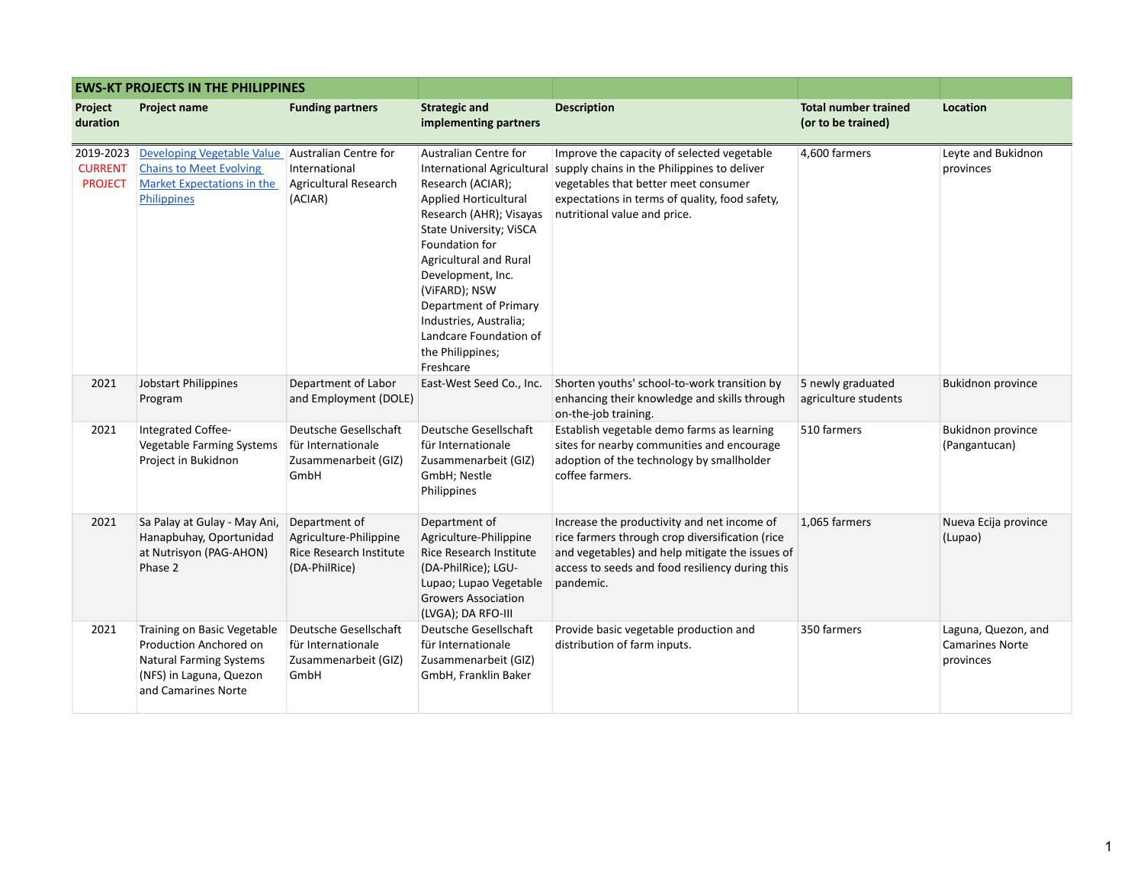| <b>EWS-KT PROJECTS IN THE PHILIPPINES</b>     |                                                                                                                                           |                                                                                     |                                                                                                                                                                                                                                                                                                                                         |                                                                                                                                                                                                                                                |                                                   |                                                            |
|-----------------------------------------------|-------------------------------------------------------------------------------------------------------------------------------------------|-------------------------------------------------------------------------------------|-----------------------------------------------------------------------------------------------------------------------------------------------------------------------------------------------------------------------------------------------------------------------------------------------------------------------------------------|------------------------------------------------------------------------------------------------------------------------------------------------------------------------------------------------------------------------------------------------|---------------------------------------------------|------------------------------------------------------------|
| Project<br>duration                           | <b>Project name</b>                                                                                                                       | <b>Funding partners</b>                                                             | <b>Strategic and</b><br>implementing partners                                                                                                                                                                                                                                                                                           | <b>Description</b>                                                                                                                                                                                                                             | <b>Total number trained</b><br>(or to be trained) | Location                                                   |
| 2019-2023<br><b>CURRENT</b><br><b>PROJECT</b> | Developing Vegetable Value<br><b>Chains to Meet Evolving</b><br>Market Expectations in the<br>Philippines                                 | Australian Centre for<br>International<br><b>Agricultural Research</b><br>(ACIAR)   | Australian Centre for<br>Research (ACIAR);<br>Applied Horticultural<br>Research (AHR); Visayas<br><b>State University; VISCA</b><br>Foundation for<br><b>Agricultural and Rural</b><br>Development, Inc.<br>(ViFARD); NSW<br>Department of Primary<br>Industries, Australia;<br>Landcare Foundation of<br>the Philippines;<br>Freshcare | Improve the capacity of selected vegetable<br>International Agricultural supply chains in the Philippines to deliver<br>vegetables that better meet consumer<br>expectations in terms of quality, food safety,<br>nutritional value and price. | 4,600 farmers                                     | Leyte and Bukidnon<br>provinces                            |
| 2021                                          | <b>Jobstart Philippines</b><br>Program                                                                                                    | Department of Labor<br>and Employment (DOLE)                                        | East-West Seed Co., Inc.                                                                                                                                                                                                                                                                                                                | Shorten youths' school-to-work transition by<br>enhancing their knowledge and skills through<br>on-the-job training.                                                                                                                           | 5 newly graduated<br>agriculture students         | <b>Bukidnon province</b>                                   |
| 2021                                          | Integrated Coffee-<br><b>Vegetable Farming Systems</b><br>Project in Bukidnon                                                             | Deutsche Gesellschaft<br>für Internationale<br>Zusammenarbeit (GIZ)<br>GmbH         | Deutsche Gesellschaft<br>für Internationale<br>Zusammenarbeit (GIZ)<br>GmbH; Nestle<br>Philippines                                                                                                                                                                                                                                      | Establish vegetable demo farms as learning<br>sites for nearby communities and encourage<br>adoption of the technology by smallholder<br>coffee farmers.                                                                                       | 510 farmers                                       | <b>Bukidnon province</b><br>(Pangantucan)                  |
| 2021                                          | Sa Palay at Gulay - May Ani,<br>Hanapbuhay, Oportunidad<br>at Nutrisyon (PAG-AHON)<br>Phase 2                                             | Department of<br>Agriculture-Philippine<br>Rice Research Institute<br>(DA-PhilRice) | Department of<br>Agriculture-Philippine<br>Rice Research Institute<br>(DA-PhilRice); LGU-<br>Lupao; Lupao Vegetable<br><b>Growers Association</b><br>(LVGA); DA RFO-III                                                                                                                                                                 | Increase the productivity and net income of<br>rice farmers through crop diversification (rice<br>and vegetables) and help mitigate the issues of<br>access to seeds and food resiliency during this<br>pandemic.                              | 1,065 farmers                                     | Nueva Ecija province<br>(Lupao)                            |
| 2021                                          | Training on Basic Vegetable<br>Production Anchored on<br><b>Natural Farming Systems</b><br>(NFS) in Laguna, Quezon<br>and Camarines Norte | Deutsche Gesellschaft<br>für Internationale<br>Zusammenarbeit (GIZ)<br>GmbH         | Deutsche Gesellschaft<br>für Internationale<br>Zusammenarbeit (GIZ)<br>GmbH, Franklin Baker                                                                                                                                                                                                                                             | Provide basic vegetable production and<br>distribution of farm inputs.                                                                                                                                                                         | 350 farmers                                       | Laguna, Quezon, and<br><b>Camarines Norte</b><br>provinces |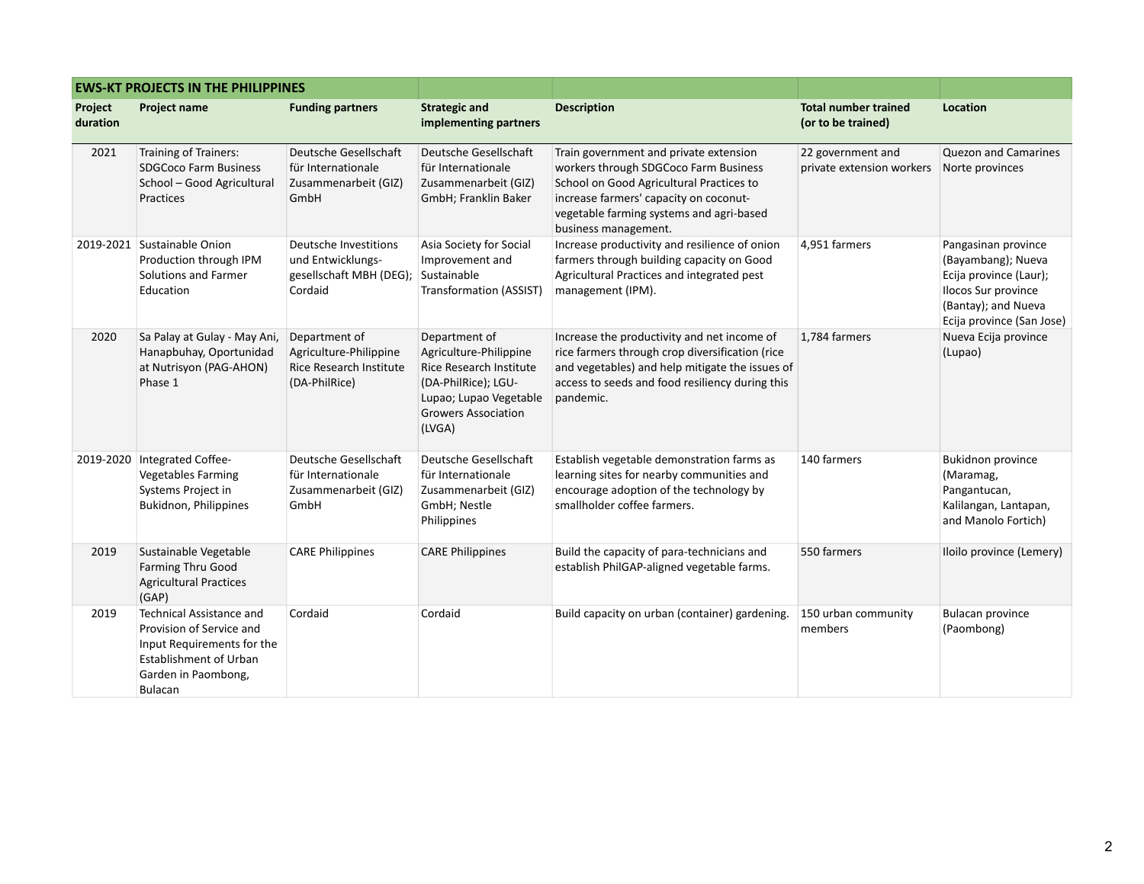| <b>EWS-KT PROJECTS IN THE PHILIPPINES</b> |                                                                                                                                                       |                                                                                     |                                                                                                                                                                    |                                                                                                                                                                                                                                           |                                                   |                                                                                                                                                |
|-------------------------------------------|-------------------------------------------------------------------------------------------------------------------------------------------------------|-------------------------------------------------------------------------------------|--------------------------------------------------------------------------------------------------------------------------------------------------------------------|-------------------------------------------------------------------------------------------------------------------------------------------------------------------------------------------------------------------------------------------|---------------------------------------------------|------------------------------------------------------------------------------------------------------------------------------------------------|
| Project<br>duration                       | <b>Project name</b>                                                                                                                                   | <b>Funding partners</b>                                                             | <b>Strategic and</b><br>implementing partners                                                                                                                      | <b>Description</b>                                                                                                                                                                                                                        | <b>Total number trained</b><br>(or to be trained) | Location                                                                                                                                       |
| 2021                                      | Training of Trainers:<br><b>SDGCoco Farm Business</b><br>School - Good Agricultural<br>Practices                                                      | Deutsche Gesellschaft<br>für Internationale<br>Zusammenarbeit (GIZ)<br>GmbH         | Deutsche Gesellschaft<br>für Internationale<br>Zusammenarbeit (GIZ)<br>GmbH; Franklin Baker                                                                        | Train government and private extension<br>workers through SDGCoco Farm Business<br>School on Good Agricultural Practices to<br>increase farmers' capacity on coconut-<br>vegetable farming systems and agri-based<br>business management. | 22 government and<br>private extension workers    | <b>Quezon and Camarines</b><br>Norte provinces                                                                                                 |
|                                           | 2019-2021 Sustainable Onion<br>Production through IPM<br>Solutions and Farmer<br>Education                                                            | Deutsche Investitions<br>und Entwicklungs-<br>gesellschaft MBH (DEG);<br>Cordaid    | Asia Society for Social<br>Improvement and<br>Sustainable<br>Transformation (ASSIST)                                                                               | Increase productivity and resilience of onion<br>farmers through building capacity on Good<br>Agricultural Practices and integrated pest<br>management (IPM).                                                                             | 4.951 farmers                                     | Pangasinan province<br>(Bayambang); Nueva<br>Ecija province (Laur);<br>Ilocos Sur province<br>(Bantay); and Nueva<br>Ecija province (San Jose) |
| 2020                                      | Sa Palay at Gulay - May Ani,<br>Hanapbuhay, Oportunidad<br>at Nutrisyon (PAG-AHON)<br>Phase 1                                                         | Department of<br>Agriculture-Philippine<br>Rice Research Institute<br>(DA-PhilRice) | Department of<br>Agriculture-Philippine<br><b>Rice Research Institute</b><br>(DA-PhilRice); LGU-<br>Lupao; Lupao Vegetable<br><b>Growers Association</b><br>(LVGA) | Increase the productivity and net income of<br>rice farmers through crop diversification (rice<br>and vegetables) and help mitigate the issues of<br>access to seeds and food resiliency during this<br>pandemic.                         | 1.784 farmers                                     | Nueva Ecija province<br>(Lupao)                                                                                                                |
|                                           | 2019-2020 Integrated Coffee-<br><b>Vegetables Farming</b><br>Systems Project in<br>Bukidnon, Philippines                                              | Deutsche Gesellschaft<br>für Internationale<br>Zusammenarbeit (GIZ)<br>GmbH         | Deutsche Gesellschaft<br>für Internationale<br>Zusammenarbeit (GIZ)<br>GmbH; Nestle<br>Philippines                                                                 | Establish vegetable demonstration farms as<br>learning sites for nearby communities and<br>encourage adoption of the technology by<br>smallholder coffee farmers.                                                                         | 140 farmers                                       | Bukidnon province<br>(Maramag,<br>Pangantucan,<br>Kalilangan, Lantapan,<br>and Manolo Fortich)                                                 |
| 2019                                      | Sustainable Vegetable<br>Farming Thru Good<br><b>Agricultural Practices</b><br>(GAP)                                                                  | <b>CARE Philippines</b>                                                             | <b>CARE Philippines</b>                                                                                                                                            | Build the capacity of para-technicians and<br>establish PhilGAP-aligned vegetable farms.                                                                                                                                                  | 550 farmers                                       | Iloilo province (Lemery)                                                                                                                       |
| 2019                                      | Technical Assistance and<br>Provision of Service and<br>Input Requirements for the<br><b>Establishment of Urban</b><br>Garden in Paombong,<br>Bulacan | Cordaid                                                                             | Cordaid                                                                                                                                                            | Build capacity on urban (container) gardening.                                                                                                                                                                                            | 150 urban community<br>members                    | <b>Bulacan province</b><br>(Paombong)                                                                                                          |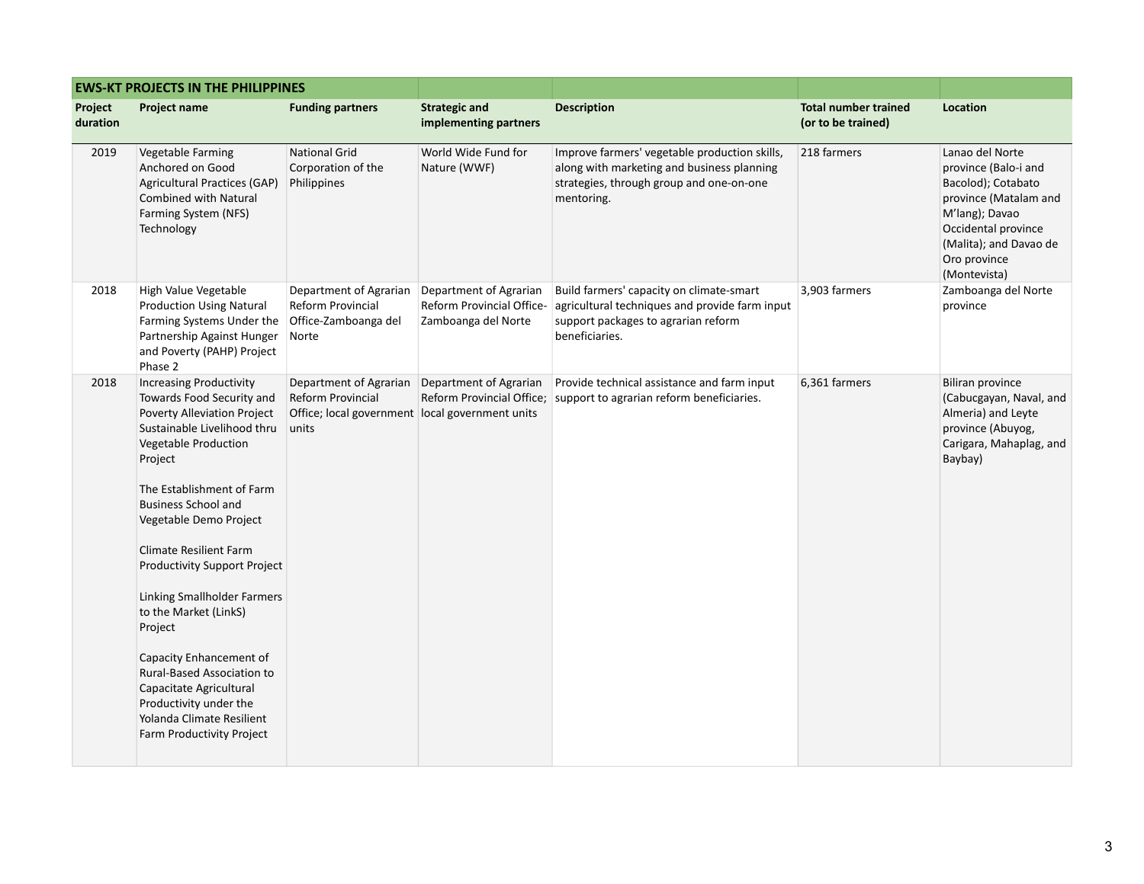| <b>EWS-KT PROJECTS IN THE PHILIPPINES</b> |                                                                                                                                                                                                                                                                                                                                                                                                                                                                                                                                                                      |                                                                                                           |                                                                            |                                                                                                                                                       |                                                   |                                                                                                                                                                                           |
|-------------------------------------------|----------------------------------------------------------------------------------------------------------------------------------------------------------------------------------------------------------------------------------------------------------------------------------------------------------------------------------------------------------------------------------------------------------------------------------------------------------------------------------------------------------------------------------------------------------------------|-----------------------------------------------------------------------------------------------------------|----------------------------------------------------------------------------|-------------------------------------------------------------------------------------------------------------------------------------------------------|---------------------------------------------------|-------------------------------------------------------------------------------------------------------------------------------------------------------------------------------------------|
| Project<br>duration                       | Project name                                                                                                                                                                                                                                                                                                                                                                                                                                                                                                                                                         | <b>Funding partners</b>                                                                                   | <b>Strategic and</b><br>implementing partners                              | <b>Description</b>                                                                                                                                    | <b>Total number trained</b><br>(or to be trained) | Location                                                                                                                                                                                  |
| 2019                                      | Vegetable Farming<br>Anchored on Good<br>Agricultural Practices (GAP)<br><b>Combined with Natural</b><br>Farming System (NFS)<br>Technology                                                                                                                                                                                                                                                                                                                                                                                                                          | <b>National Grid</b><br>Corporation of the<br>Philippines                                                 | World Wide Fund for<br>Nature (WWF)                                        | Improve farmers' vegetable production skills,<br>along with marketing and business planning<br>strategies, through group and one-on-one<br>mentoring. | 218 farmers                                       | Lanao del Norte<br>province (Balo-i and<br>Bacolod); Cotabato<br>province (Matalam and<br>M'lang); Davao<br>Occidental province<br>(Malita); and Davao de<br>Oro province<br>(Montevista) |
| 2018                                      | High Value Vegetable<br><b>Production Using Natural</b><br>Farming Systems Under the<br>Partnership Against Hunger<br>and Poverty (PAHP) Project<br>Phase 2                                                                                                                                                                                                                                                                                                                                                                                                          | Department of Agrarian<br>Reform Provincial<br>Office-Zamboanga del<br>Norte                              | Department of Agrarian<br>Reform Provincial Office-<br>Zamboanga del Norte | Build farmers' capacity on climate-smart<br>agricultural techniques and provide farm input<br>support packages to agrarian reform<br>beneficiaries.   | 3,903 farmers                                     | Zamboanga del Norte<br>province                                                                                                                                                           |
| 2018                                      | <b>Increasing Productivity</b><br>Towards Food Security and<br>Poverty Alleviation Project<br>Sustainable Livelihood thru<br><b>Vegetable Production</b><br>Project<br>The Establishment of Farm<br><b>Business School and</b><br>Vegetable Demo Project<br><b>Climate Resilient Farm</b><br>Productivity Support Project<br>Linking Smallholder Farmers<br>to the Market (LinkS)<br>Project<br>Capacity Enhancement of<br>Rural-Based Association to<br>Capacitate Agricultural<br>Productivity under the<br>Yolanda Climate Resilient<br>Farm Productivity Project | Department of Agrarian<br>Reform Provincial<br>Office; local government   local government units<br>units | Department of Agrarian<br>Reform Provincial Office;                        | Provide technical assistance and farm input<br>support to agrarian reform beneficiaries.                                                              | 6,361 farmers                                     | <b>Biliran province</b><br>(Cabucgayan, Naval, and<br>Almeria) and Leyte<br>province (Abuyog,<br>Carigara, Mahaplag, and<br>Baybay)                                                       |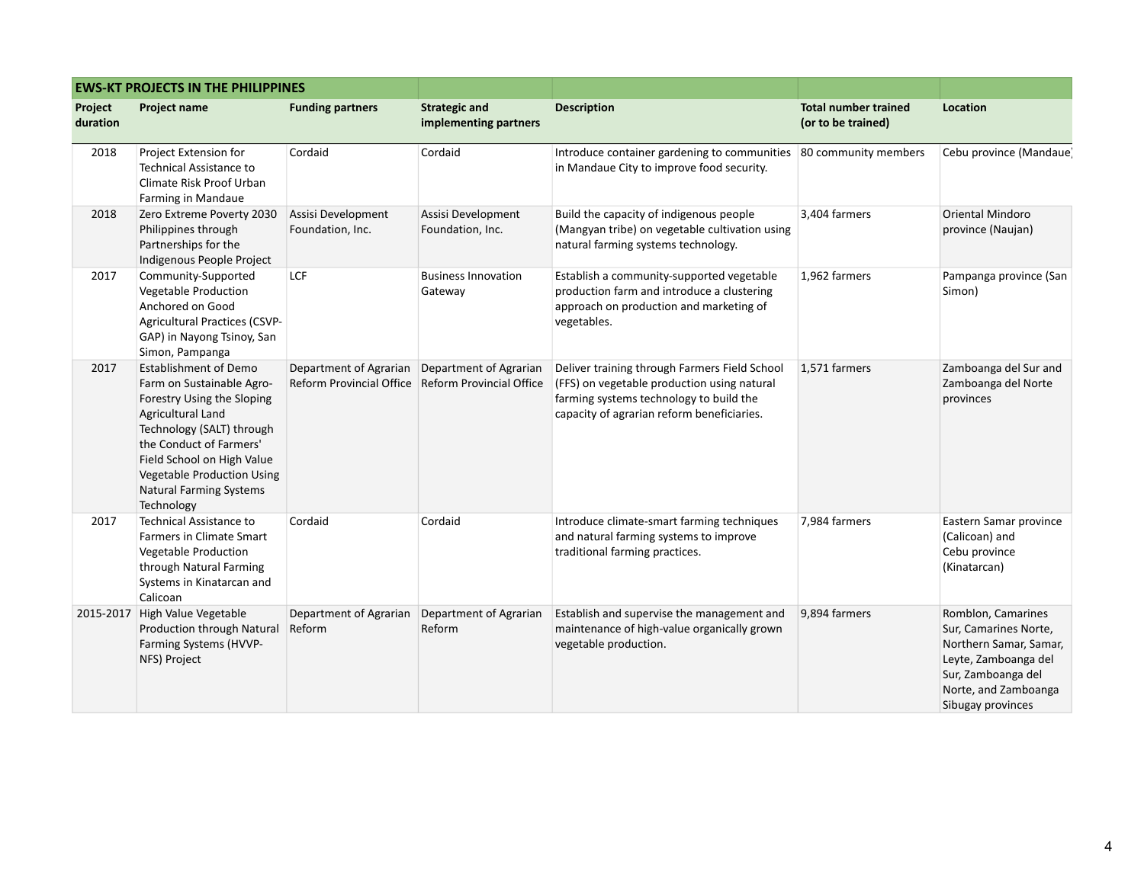|                     | <b>EWS-KT PROJECTS IN THE PHILIPPINES</b>                                                                                                                                                                                                                                               |                                                    |                                                           |                                                                                                                                                                                       |                                                   |                                                                                                                                                                  |
|---------------------|-----------------------------------------------------------------------------------------------------------------------------------------------------------------------------------------------------------------------------------------------------------------------------------------|----------------------------------------------------|-----------------------------------------------------------|---------------------------------------------------------------------------------------------------------------------------------------------------------------------------------------|---------------------------------------------------|------------------------------------------------------------------------------------------------------------------------------------------------------------------|
| Project<br>duration | <b>Project name</b>                                                                                                                                                                                                                                                                     | <b>Funding partners</b>                            | <b>Strategic and</b><br>implementing partners             | <b>Description</b>                                                                                                                                                                    | <b>Total number trained</b><br>(or to be trained) | Location                                                                                                                                                         |
| 2018                | Project Extension for<br>Technical Assistance to<br>Climate Risk Proof Urban<br>Farming in Mandaue                                                                                                                                                                                      | Cordaid                                            | Cordaid                                                   | Introduce container gardening to communities 80 community members<br>in Mandaue City to improve food security.                                                                        |                                                   | Cebu province (Mandaue)                                                                                                                                          |
| 2018                | Zero Extreme Poverty 2030<br>Philippines through<br>Partnerships for the<br>Indigenous People Project                                                                                                                                                                                   | Assisi Development<br>Foundation, Inc.             | Assisi Development<br>Foundation, Inc.                    | Build the capacity of indigenous people<br>(Mangyan tribe) on vegetable cultivation using<br>natural farming systems technology.                                                      | 3,404 farmers                                     | Oriental Mindoro<br>province (Naujan)                                                                                                                            |
| 2017                | Community-Supported<br><b>Vegetable Production</b><br>Anchored on Good<br><b>Agricultural Practices (CSVP-</b><br>GAP) in Nayong Tsinoy, San<br>Simon, Pampanga                                                                                                                         | LCF                                                | <b>Business Innovation</b><br>Gateway                     | Establish a community-supported vegetable<br>production farm and introduce a clustering<br>approach on production and marketing of<br>vegetables.                                     | 1,962 farmers                                     | Pampanga province (San<br>Simon)                                                                                                                                 |
| 2017                | <b>Establishment of Demo</b><br>Farm on Sustainable Agro-<br>Forestry Using the Sloping<br>Agricultural Land<br>Technology (SALT) through<br>the Conduct of Farmers'<br>Field School on High Value<br><b>Vegetable Production Using</b><br><b>Natural Farming Systems</b><br>Technology | Department of Agrarian<br>Reform Provincial Office | Department of Agrarian<br><b>Reform Provincial Office</b> | Deliver training through Farmers Field School<br>(FFS) on vegetable production using natural<br>farming systems technology to build the<br>capacity of agrarian reform beneficiaries. | 1.571 farmers                                     | Zamboanga del Sur and<br>Zamboanga del Norte<br>provinces                                                                                                        |
| 2017                | Technical Assistance to<br>Farmers in Climate Smart<br>Vegetable Production<br>through Natural Farming<br>Systems in Kinatarcan and<br>Calicoan                                                                                                                                         | Cordaid                                            | Cordaid                                                   | Introduce climate-smart farming techniques<br>and natural farming systems to improve<br>traditional farming practices.                                                                | 7,984 farmers                                     | Eastern Samar province<br>(Calicoan) and<br>Cebu province<br>(Kinatarcan)                                                                                        |
|                     | 2015-2017 High Value Vegetable<br>Production through Natural<br>Farming Systems (HVVP-<br>NFS) Project                                                                                                                                                                                  | Department of Agrarian<br>Reform                   | Department of Agrarian<br>Reform                          | Establish and supervise the management and<br>maintenance of high-value organically grown<br>vegetable production.                                                                    | 9,894 farmers                                     | Romblon, Camarines<br>Sur, Camarines Norte,<br>Northern Samar, Samar,<br>Leyte, Zamboanga del<br>Sur, Zamboanga del<br>Norte, and Zamboanga<br>Sibugay provinces |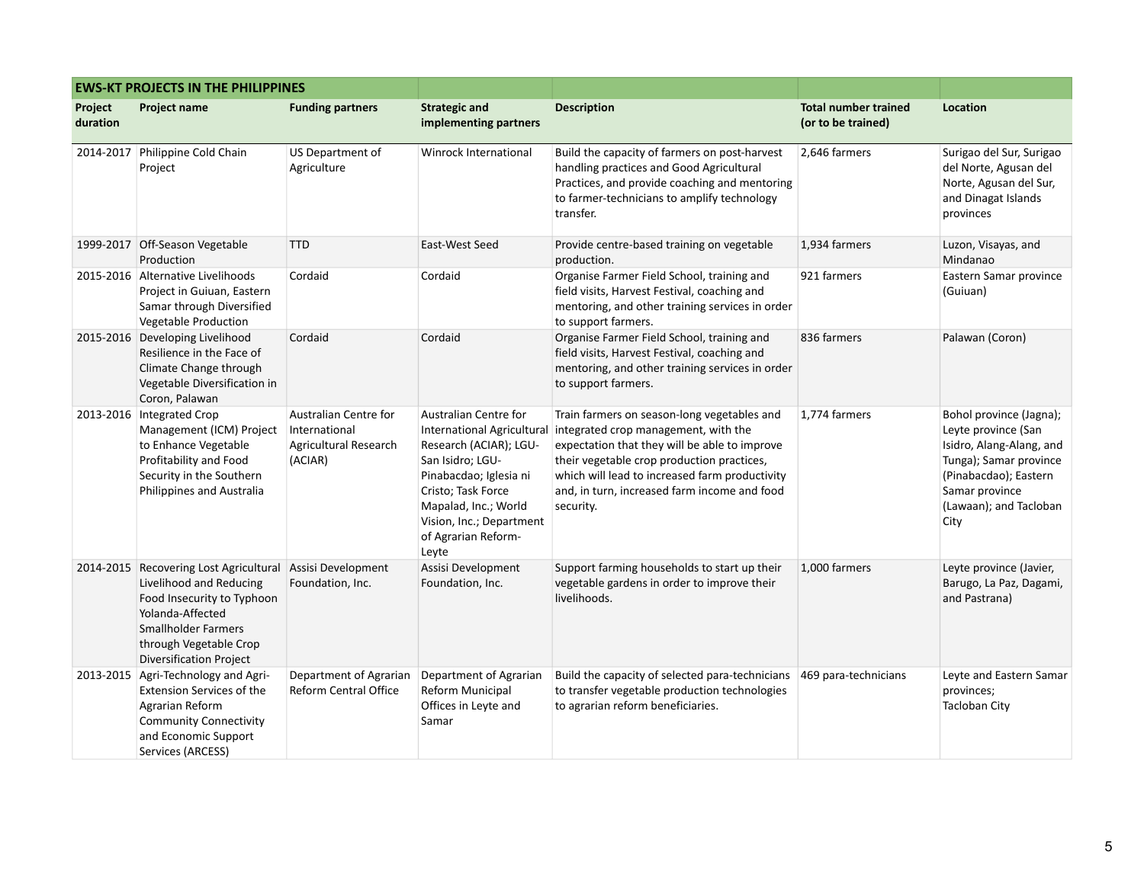| <b>EWS-KT PROJECTS IN THE PHILIPPINES</b> |                                                                                                                                                                                                               |                                                                                   |                                                                                                                                                                                                                                       |                                                                                                                                                                                                                                                                                                   |                                                   |                                                                                                                                                                                   |
|-------------------------------------------|---------------------------------------------------------------------------------------------------------------------------------------------------------------------------------------------------------------|-----------------------------------------------------------------------------------|---------------------------------------------------------------------------------------------------------------------------------------------------------------------------------------------------------------------------------------|---------------------------------------------------------------------------------------------------------------------------------------------------------------------------------------------------------------------------------------------------------------------------------------------------|---------------------------------------------------|-----------------------------------------------------------------------------------------------------------------------------------------------------------------------------------|
| Project<br>duration                       | <b>Project name</b>                                                                                                                                                                                           | <b>Funding partners</b>                                                           | <b>Strategic and</b><br>implementing partners                                                                                                                                                                                         | <b>Description</b>                                                                                                                                                                                                                                                                                | <b>Total number trained</b><br>(or to be trained) | Location                                                                                                                                                                          |
|                                           | 2014-2017 Philippine Cold Chain<br>Project                                                                                                                                                                    | US Department of<br>Agriculture                                                   | Winrock International                                                                                                                                                                                                                 | Build the capacity of farmers on post-harvest<br>handling practices and Good Agricultural<br>Practices, and provide coaching and mentoring<br>to farmer-technicians to amplify technology<br>transfer.                                                                                            | 2,646 farmers                                     | Surigao del Sur, Surigao<br>del Norte, Agusan del<br>Norte, Agusan del Sur,<br>and Dinagat Islands<br>provinces                                                                   |
|                                           | 1999-2017 Off-Season Vegetable<br>Production                                                                                                                                                                  | <b>TTD</b>                                                                        | East-West Seed                                                                                                                                                                                                                        | Provide centre-based training on vegetable<br>production.                                                                                                                                                                                                                                         | 1,934 farmers                                     | Luzon, Visayas, and<br>Mindanao                                                                                                                                                   |
|                                           | 2015-2016 Alternative Livelihoods<br>Project in Guiuan, Eastern<br>Samar through Diversified<br><b>Vegetable Production</b>                                                                                   | Cordaid                                                                           | Cordaid                                                                                                                                                                                                                               | Organise Farmer Field School, training and<br>field visits, Harvest Festival, coaching and<br>mentoring, and other training services in order<br>to support farmers.                                                                                                                              | 921 farmers                                       | Eastern Samar province<br>(Guiuan)                                                                                                                                                |
|                                           | 2015-2016 Developing Livelihood<br>Resilience in the Face of<br>Climate Change through<br>Vegetable Diversification in<br>Coron, Palawan                                                                      | Cordaid                                                                           | Cordaid                                                                                                                                                                                                                               | Organise Farmer Field School, training and<br>field visits, Harvest Festival, coaching and<br>mentoring, and other training services in order<br>to support farmers.                                                                                                                              | 836 farmers                                       | Palawan (Coron)                                                                                                                                                                   |
|                                           | 2013-2016 Integrated Crop<br>Management (ICM) Project<br>to Enhance Vegetable<br>Profitability and Food<br>Security in the Southern<br>Philippines and Australia                                              | Australian Centre for<br>International<br><b>Agricultural Research</b><br>(ACIAR) | Australian Centre for<br>International Agricultural<br>Research (ACIAR); LGU-<br>San Isidro; LGU-<br>Pinabacdao; Iglesia ni<br>Cristo; Task Force<br>Mapalad, Inc.; World<br>Vision, Inc.; Department<br>of Agrarian Reform-<br>Leyte | Train farmers on season-long vegetables and<br>integrated crop management, with the<br>expectation that they will be able to improve<br>their vegetable crop production practices,<br>which will lead to increased farm productivity<br>and, in turn, increased farm income and food<br>security. | 1,774 farmers                                     | Bohol province (Jagna);<br>Leyte province (San<br>Isidro, Alang-Alang, and<br>Tunga); Samar province<br>(Pinabacdao); Eastern<br>Samar province<br>(Lawaan); and Tacloban<br>City |
|                                           | 2014-2015 Recovering Lost Agricultural<br>Livelihood and Reducing<br>Food Insecurity to Typhoon<br>Yolanda-Affected<br><b>Smallholder Farmers</b><br>through Vegetable Crop<br><b>Diversification Project</b> | Assisi Development<br>Foundation, Inc.                                            | Assisi Development<br>Foundation, Inc.                                                                                                                                                                                                | Support farming households to start up their<br>vegetable gardens in order to improve their<br>livelihoods.                                                                                                                                                                                       | 1,000 farmers                                     | Leyte province (Javier,<br>Barugo, La Paz, Dagami,<br>and Pastrana)                                                                                                               |
|                                           | 2013-2015 Agri-Technology and Agri-<br><b>Extension Services of the</b><br>Agrarian Reform<br><b>Community Connectivity</b><br>and Economic Support<br>Services (ARCESS)                                      | Department of Agrarian<br><b>Reform Central Office</b>                            | Department of Agrarian<br>Reform Municipal<br>Offices in Leyte and<br>Samar                                                                                                                                                           | Build the capacity of selected para-technicians<br>to transfer vegetable production technologies<br>to agrarian reform beneficiaries.                                                                                                                                                             | 469 para-technicians                              | Leyte and Eastern Samar<br>provinces;<br>Tacloban City                                                                                                                            |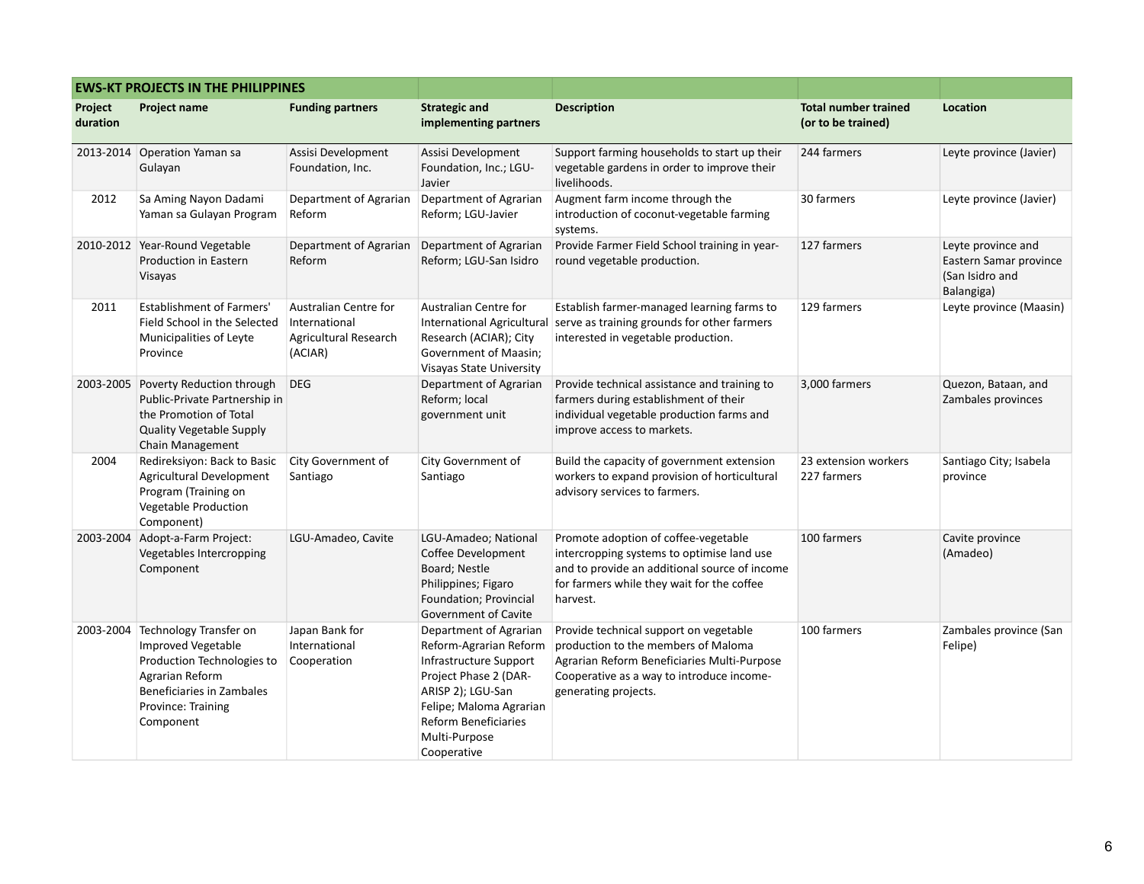| <b>EWS-KT PROJECTS IN THE PHILIPPINES</b> |                                                                                                                                                                                |                                                                                          |                                                                                                                                                                                                             |                                                                                                                                                                                                   |                                                   |                                                                               |
|-------------------------------------------|--------------------------------------------------------------------------------------------------------------------------------------------------------------------------------|------------------------------------------------------------------------------------------|-------------------------------------------------------------------------------------------------------------------------------------------------------------------------------------------------------------|---------------------------------------------------------------------------------------------------------------------------------------------------------------------------------------------------|---------------------------------------------------|-------------------------------------------------------------------------------|
| Project<br>duration                       | Project name                                                                                                                                                                   | <b>Funding partners</b>                                                                  | <b>Strategic and</b><br>implementing partners                                                                                                                                                               | <b>Description</b>                                                                                                                                                                                | <b>Total number trained</b><br>(or to be trained) | Location                                                                      |
|                                           | 2013-2014 Operation Yaman sa<br>Gulayan                                                                                                                                        | Assisi Development<br>Foundation, Inc.                                                   | Assisi Development<br>Foundation, Inc.; LGU-<br>Javier                                                                                                                                                      | Support farming households to start up their<br>vegetable gardens in order to improve their<br>livelihoods.                                                                                       | 244 farmers                                       | Leyte province (Javier)                                                       |
| 2012                                      | Sa Aming Nayon Dadami<br>Yaman sa Gulayan Program                                                                                                                              | Department of Agrarian<br>Reform                                                         | Department of Agrarian<br>Reform; LGU-Javier                                                                                                                                                                | Augment farm income through the<br>introduction of coconut-vegetable farming<br>systems.                                                                                                          | 30 farmers                                        | Leyte province (Javier)                                                       |
|                                           | 2010-2012 Year-Round Vegetable<br><b>Production in Eastern</b><br>Visayas                                                                                                      | Department of Agrarian<br>Reform                                                         | Department of Agrarian<br>Reform; LGU-San Isidro                                                                                                                                                            | Provide Farmer Field School training in year-<br>round vegetable production.                                                                                                                      | 127 farmers                                       | Leyte province and<br>Eastern Samar province<br>(San Isidro and<br>Balangiga) |
| 2011                                      | <b>Establishment of Farmers'</b><br>Field School in the Selected<br>Municipalities of Leyte<br>Province                                                                        | <b>Australian Centre for</b><br>International<br><b>Agricultural Research</b><br>(ACIAR) | Australian Centre for<br>Research (ACIAR); City<br>Government of Maasin;<br>Visayas State University                                                                                                        | Establish farmer-managed learning farms to<br>International Agricultural serve as training grounds for other farmers<br>interested in vegetable production.                                       | 129 farmers                                       | Leyte province (Maasin)                                                       |
|                                           | 2003-2005 Poverty Reduction through<br>Public-Private Partnership in<br>the Promotion of Total<br>Quality Vegetable Supply<br>Chain Management                                 | <b>DEG</b>                                                                               | Department of Agrarian<br>Reform; local<br>government unit                                                                                                                                                  | Provide technical assistance and training to<br>farmers during establishment of their<br>individual vegetable production farms and<br>improve access to markets.                                  | 3,000 farmers                                     | Quezon, Bataan, and<br>Zambales provinces                                     |
| 2004                                      | Redireksiyon: Back to Basic<br>Agricultural Development<br>Program (Training on<br><b>Vegetable Production</b><br>Component)                                                   | City Government of<br>Santiago                                                           | City Government of<br>Santiago                                                                                                                                                                              | Build the capacity of government extension<br>workers to expand provision of horticultural<br>advisory services to farmers.                                                                       | 23 extension workers<br>227 farmers               | Santiago City; Isabela<br>province                                            |
| 2003-2004                                 | Adopt-a-Farm Project:<br>Vegetables Intercropping<br>Component                                                                                                                 | LGU-Amadeo, Cavite                                                                       | LGU-Amadeo; National<br>Coffee Development<br>Board; Nestle<br>Philippines; Figaro<br>Foundation; Provincial<br>Government of Cavite                                                                        | Promote adoption of coffee-vegetable<br>intercropping systems to optimise land use<br>and to provide an additional source of income<br>for farmers while they wait for the coffee<br>harvest.     | 100 farmers                                       | Cavite province<br>(Amadeo)                                                   |
|                                           | 2003-2004 Technology Transfer on<br>Improved Vegetable<br>Production Technologies to<br>Agrarian Reform<br><b>Beneficiaries in Zambales</b><br>Province: Training<br>Component | Japan Bank for<br>International<br>Cooperation                                           | Department of Agrarian<br>Reform-Agrarian Reform<br>Infrastructure Support<br>Project Phase 2 (DAR-<br>ARISP 2); LGU-San<br>Felipe; Maloma Agrarian<br>Reform Beneficiaries<br>Multi-Purpose<br>Cooperative | Provide technical support on vegetable<br>production to the members of Maloma<br>Agrarian Reform Beneficiaries Multi-Purpose<br>Cooperative as a way to introduce income-<br>generating projects. | 100 farmers                                       | Zambales province (San<br>Felipe)                                             |